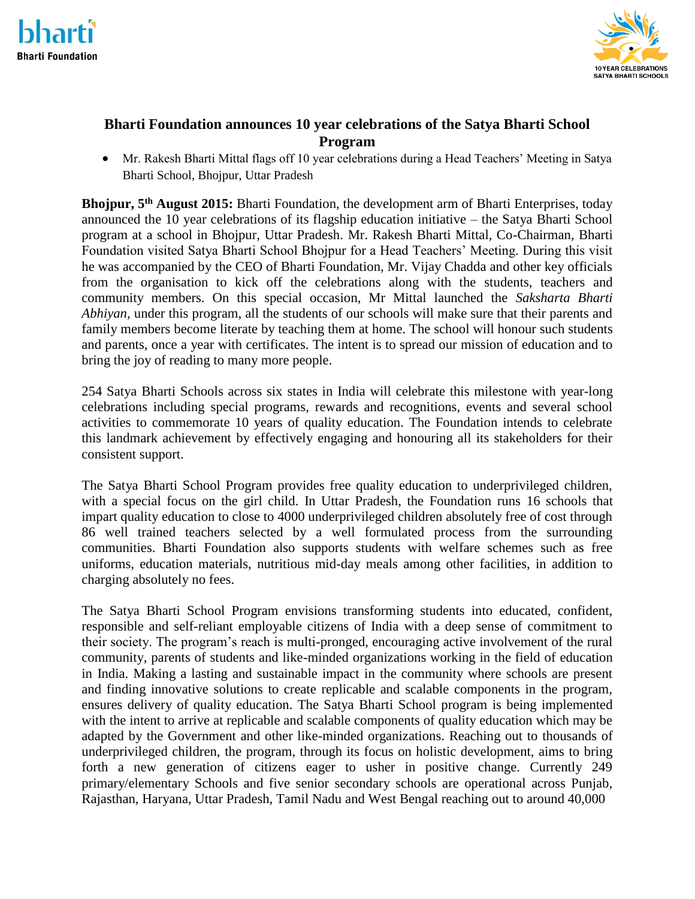



# **Bharti Foundation announces 10 year celebrations of the Satya Bharti School Program**

 Mr. Rakesh Bharti Mittal flags off 10 year celebrations during a Head Teachers' Meeting in Satya Bharti School, Bhojpur, Uttar Pradesh

**Bhojpur, 5th August 2015:** Bharti Foundation, the development arm of Bharti Enterprises, today announced the 10 year celebrations of its flagship education initiative – the Satya Bharti School program at a school in Bhojpur, Uttar Pradesh. Mr. Rakesh Bharti Mittal, Co-Chairman, Bharti Foundation visited Satya Bharti School Bhojpur for a Head Teachers' Meeting. During this visit he was accompanied by the CEO of Bharti Foundation, Mr. Vijay Chadda and other key officials from the organisation to kick off the celebrations along with the students, teachers and community members. On this special occasion, Mr Mittal launched the *Saksharta Bharti Abhiyan,* under this program, all the students of our schools will make sure that their parents and family members become literate by teaching them at home. The school will honour such students and parents, once a year with certificates. The intent is to spread our mission of education and to bring the joy of reading to many more people.

254 Satya Bharti Schools across six states in India will celebrate this milestone with year-long celebrations including special programs, rewards and recognitions, events and several school activities to commemorate 10 years of quality education. The Foundation intends to celebrate this landmark achievement by effectively engaging and honouring all its stakeholders for their consistent support.

The Satya Bharti School Program provides free quality education to underprivileged children, with a special focus on the girl child. In Uttar Pradesh, the Foundation runs 16 schools that impart quality education to close to 4000 underprivileged children absolutely free of cost through 86 well trained teachers selected by a well formulated process from the surrounding communities. Bharti Foundation also supports students with welfare schemes such as free uniforms, education materials, nutritious mid-day meals among other facilities, in addition to charging absolutely no fees.

The Satya Bharti School Program envisions transforming students into educated, confident, responsible and self-reliant employable citizens of India with a deep sense of commitment to their society. The program's reach is multi-pronged, encouraging active involvement of the rural community, parents of students and like-minded organizations working in the field of education in India. Making a lasting and sustainable impact in the community where schools are present and finding innovative solutions to create replicable and scalable components in the program, ensures delivery of quality education. The Satya Bharti School program is being implemented with the intent to arrive at replicable and scalable components of quality education which may be adapted by the Government and other like-minded organizations. Reaching out to thousands of underprivileged children, the program, through its focus on holistic development, aims to bring forth a new generation of citizens eager to usher in positive change. Currently 249 primary/elementary Schools and five senior secondary schools are operational across Punjab, Rajasthan, Haryana, Uttar Pradesh, Tamil Nadu and West Bengal reaching out to around 40,000